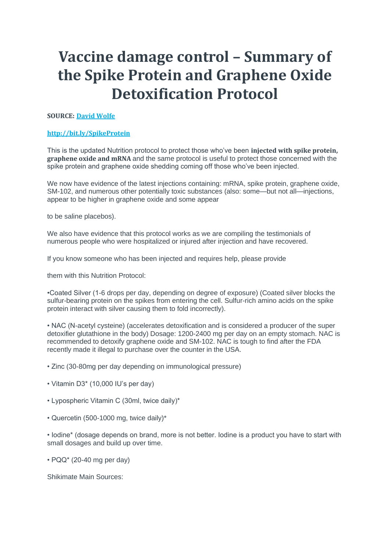# **Vaccine damage control – Summary of the Spike Protein and Graphene Oxide Detoxification Protocol**

## **SOURCE: David [Wolfe](https://www.google.com/url?q=https%3A%2F%2Fwww.davidwolfe.com%2F&sa=D&sntz=1&usg=AFQjCNGQCpcJ_lQHCHhupM3dj8fg7qv8DQ)**

## **[http://bit.ly/SpikeProtein](http://www.google.com/url?q=http%3A%2F%2Fbit.ly%2FSpikeProtein&sa=D&sntz=1&usg=AFQjCNH002bdUBSTjgVmEGD_4cqHhbxDlA)**

This is the updated Nutrition protocol to protect those who've been **injected with spike protein, graphene oxide and mRNA** and the same protocol is useful to protect those concerned with the spike protein and graphene oxide shedding coming off those who've been injected.

We now have evidence of the latest injections containing: mRNA, spike protein, graphene oxide, SM-102, and numerous other potentially toxic substances (also: some—but not all—injections, appear to be higher in graphene oxide and some appear

to be saline placebos).

We also have evidence that this protocol works as we are compiling the testimonials of numerous people who were hospitalized or injured after injection and have recovered.

If you know someone who has been injected and requires help, please provide

them with this Nutrition Protocol:

•Coated Silver (1-6 drops per day, depending on degree of exposure) (Coated silver blocks the sulfur-bearing protein on the spikes from entering the cell. Sulfur-rich amino acids on the spike protein interact with silver causing them to fold incorrectly).

• NAC (N-acetyl cysteine) (accelerates detoxification and is considered a producer of the super detoxifier glutathione in the body) Dosage: 1200-2400 mg per day on an empty stomach. NAC is recommended to detoxify graphene oxide and SM-102. NAC is tough to find after the FDA recently made it illegal to purchase over the counter in the USA.

• Zinc (30-80mg per day depending on immunological pressure)

- Vitamin D3\* (10,000 IU's per day)
- Lypospheric Vitamin C (30ml, twice daily)\*
- Quercetin (500-1000 mg, twice daily)\*

• Iodine\* (dosage depends on brand, more is not better. Iodine is a product you have to start with small dosages and build up over time.

 $\cdot$  PQQ $\cdot$  (20-40 mg per day)

Shikimate Main Sources: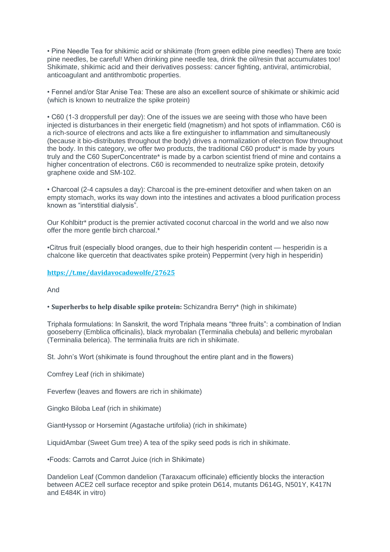• Pine Needle Tea for shikimic acid or shikimate (from green edible pine needles) There are toxic pine needles, be careful! When drinking pine needle tea, drink the oil/resin that accumulates too! Shikimate, shikimic acid and their derivatives possess: cancer fighting, antiviral, antimicrobial, anticoagulant and antithrombotic properties.

• Fennel and/or Star Anise Tea: These are also an excellent source of shikimate or shikimic acid (which is known to neutralize the spike protein)

• C60 (1-3 droppersfull per day): One of the issues we are seeing with those who have been injected is disturbances in their energetic field (magnetism) and hot spots of inflammation. C60 is a rich-source of electrons and acts like a fire extinguisher to inflammation and simultaneously (because it bio-distributes throughout the body) drives a normalization of electron flow throughout the body. In this category, we offer two products, the traditional C60 product\* is made by yours truly and the C60 SuperConcentrate\* is made by a carbon scientist friend of mine and contains a higher concentration of electrons. C60 is recommended to neutralize spike protein, detoxify graphene oxide and SM-102.

• Charcoal (2-4 capsules a day): Charcoal is the pre-eminent detoxifier and when taken on an empty stomach, works its way down into the intestines and activates a blood purification process known as "interstitial dialysis".

Our Kohlbitr\* product is the premier activated coconut charcoal in the world and we also now offer the more gentle birch charcoal.\*

•Citrus fruit (especially blood oranges, due to their high hesperidin content — hesperidin is a chalcone like quercetin that deactivates spike protein) Peppermint (very high in hesperidin)

#### **[https://t.me/davidavocadowolfe/27625](https://www.google.com/url?q=https%3A%2F%2Ft.me%2Fdavidavocadowolfe%2F27625&sa=D&sntz=1&usg=AFQjCNEysKaNtaWqWfMafRBW1TTs-DSmEw)**

And

#### • **Superherbs to help disable spike protein:** Schizandra Berry\* (high in shikimate)

Triphala formulations: In Sanskrit, the word Triphala means "three fruits": a combination of Indian gooseberry (Emblica officinalis), black myrobalan (Terminalia chebula) and belleric myrobalan (Terminalia belerica). The terminalia fruits are rich in shikimate.

St. John's Wort (shikimate is found throughout the entire plant and in the flowers)

Comfrey Leaf (rich in shikimate)

Feverfew (leaves and flowers are rich in shikimate)

Gingko Biloba Leaf (rich in shikimate)

GiantHyssop or Horsemint (Agastache urtifolia) (rich in shikimate)

LiquidAmbar (Sweet Gum tree) A tea of the spiky seed pods is rich in shikimate.

•Foods: Carrots and Carrot Juice (rich in Shikimate)

Dandelion Leaf (Common dandelion (Taraxacum officinale) efficiently blocks the interaction between ACE2 cell surface receptor and spike protein D614, mutants D614G, N501Y, K417N and E484K in vitro)